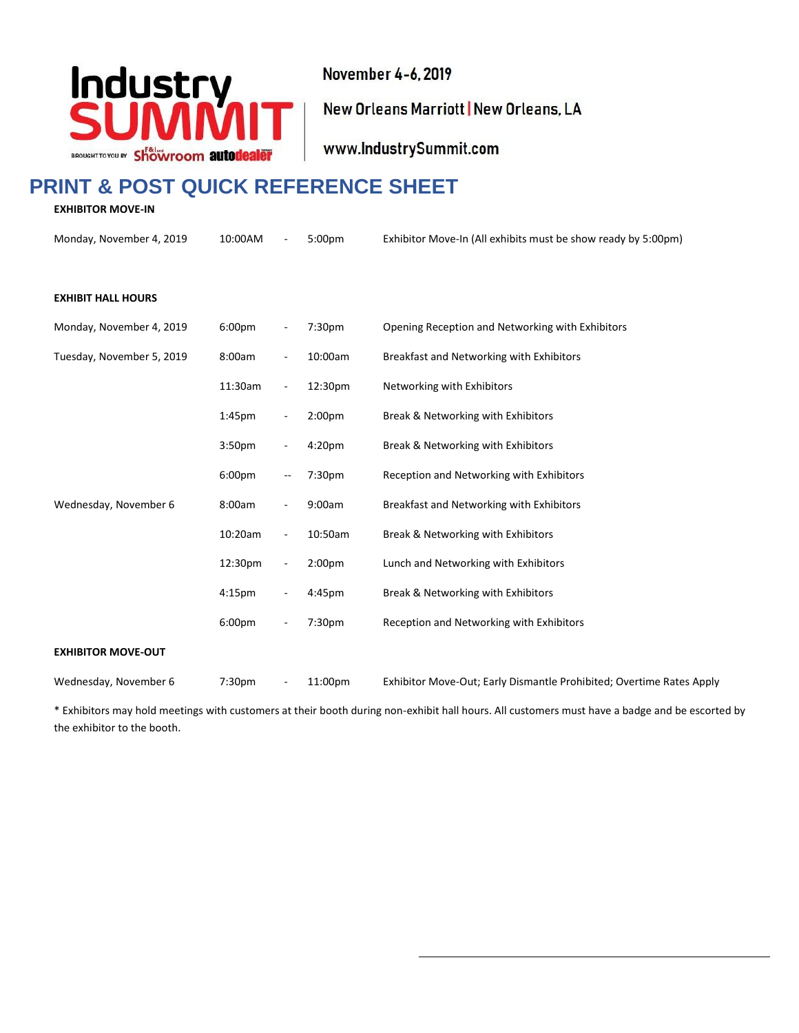

November 4-6, 2019

New Orleans Marriott | New Orleans, LA

www.IndustrySummit.com

# **PRINT & POST QUICK REFERENCE SHEET**

**EXHIBITOR MOVE-IN**

Monday, November 4, 2019 10:00AM - 5:00pm Exhibitor Move-In (All exhibits must be show ready by 5:00pm) **EXHIBIT HALL HOURS**  Monday, November 4, 2019 6:00pm - 7:30pm Opening Reception and Networking with Exhibitors Tuesday, November 5, 2019 8:00am - 10:00am Breakfast and Networking with Exhibitors 11:30am - 12:30pm Networking with Exhibitors 1:45pm - 2:00pm Break & Networking with Exhibitors 3:50pm - 4:20pm Break & Networking with Exhibitors 6:00pm -- 7:30pm Reception and Networking with Exhibitors Wednesday, November 6 8:00am - 9:00am Breakfast and Networking with Exhibitors

10:20am - 10:50am Break & Networking with Exhibitors 12:30pm - 2:00pm Lunch and Networking with Exhibitors 4:15pm - 4:45pm Break & Networking with Exhibitors 6:00pm - 7:30pm Reception and Networking with Exhibitors **EXHIBITOR MOVE-OUT**

Wednesday, November 6 7:30pm - 11:00pm Exhibitor Move-Out; Early Dismantle Prohibited; Overtime Rates Apply

\* Exhibitors may hold meetings with customers at their booth during non-exhibit hall hours. All customers must have a badge and be escorted by the exhibitor to the booth.